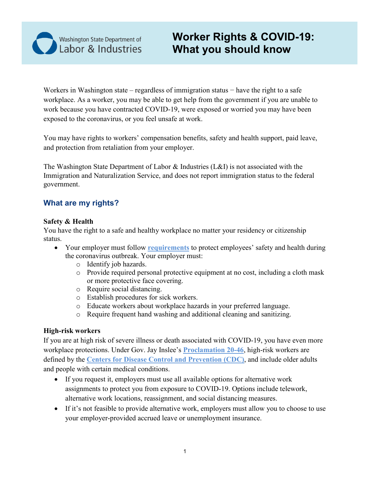

# **Worker Rights & COVID-19: What you should know**

Workers in Washington state – regardless of immigration status − have the right to a safe workplace. As a worker, you may be able to get help from the government if you are unable to work because you have contracted COVID-19, were exposed or worried you may have been exposed to the coronavirus, or you feel unsafe at work.

You may have rights to workers' compensation benefits, safety and health support, paid leave, and protection from retaliation from your employer.

The Washington State Department of Labor & Industries (L&I) is not associated with the Immigration and Naturalization Service, and does not report immigration status to the federal government.

# **What are my rights?**

#### **Safety & Health**

You have the right to a safe and healthy workplace no matter your residency or citizenship status.

- Your employer must follow **[requirements](https://www.lni.wa.gov/forms-publications/F414-167-000.pdf)** to protect employees' safety and health during the coronavirus outbreak. Your employer must:
	- o Identify job hazards.
	- o Provide required personal protective equipment at no cost, including a cloth mask or more protective face covering.
	- o Require social distancing.
	- o Establish procedures for sick workers.
	- o Educate workers about workplace hazards in your preferred language.
	- o Require frequent hand washing and additional cleaning and sanitizing.

### **High-risk workers**

If you are at high risk of severe illness or death associated with COVID-19, you have even more workplace protections. Under Gov. Jay Inslee's **[Proclamation 20-46](https://www.governor.wa.gov/sites/default/files/20-46%20-%20COVID-19%20High%20Risk%20Employees.pdf?utm_source=thestand.org)**, high-risk workers are defined by the **[Centers for Disease Control and Prevention \(CDC\)](https://www.cdc.gov/coronavirus/2019-ncov/need-extra-precautions/index.html)**, and include older adults and people with certain medical conditions.

- If you request it, employers must use all available options for alternative work assignments to protect you from exposure to COVID-19. Options include telework, alternative work locations, reassignment, and social distancing measures.
- If it's not feasible to provide alternative work, employers must allow you to choose to use your employer-provided accrued leave or unemployment insurance.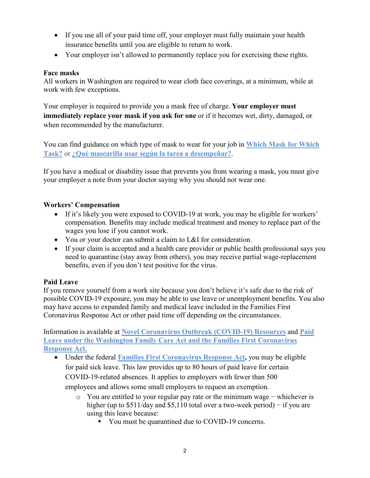- If you use all of your paid time off, your employer must fully maintain your health insurance benefits until you are eligible to return to work.
- Your employer isn't allowed to permanently replace you for exercising these rights.

### **Face masks**

All workers in Washington are required to wear cloth face coverings, at a minimum, while at work with few exceptions.

Your employer is required to provide you a mask free of charge. **Your employer must immediately replace your mask if you ask for one** or if it becomes wet, dirty, damaged, or when recommended by the manufacturer.

You can find guidance on which type of mask to wear for your job in **[Which Mask for Which](https://lni.wa.gov/forms-publications/F414-168-000.pdf)  [Task?](https://lni.wa.gov/forms-publications/F414-168-000.pdf)** or **[¿Qué mascarilla usar según la tarea a desempeñar?](https://lni.wa.gov/forms-publications/F414-168-999.pdf)**.

If you have a medical or disability issue that prevents you from wearing a mask, you must give your employer a note from your doctor saying why you should not wear one.

# **Workers' Compensation**

- If it's likely you were exposed to COVID-19 at work, you may be eligible for workers' compensation. Benefits may include medical treatment and money to replace part of the wages you lose if you cannot work.
- You or your doctor can submit a claim to L&I for consideration.
- If your claim is accepted and a health care provider or public health professional says you need to quarantine (stay away from others), you may receive partial wage-replacement benefits, even if you don't test positive for the virus.

### **Paid Leave**

If you remove yourself from a work site because you don't believe it's safe due to the risk of possible COVID-19 exposure, you may be able to use leave or unemployment benefits. You also may have access to expanded family and medical leave included in the Families First Coronavirus Response Act or other paid time off depending on the circumstances.

Information is available at **[Novel Coronavirus Outbreak \(COVID-19\) Resources](https://www.lni.wa.gov/agency/outreach/novel-coronavirus-outbreak-covid-19-resources)** and **[Paid](https://www.lni.wa.gov/agency/outreach/paid-leave-under-the-washington-family-care-act-and-the-families-first-coronavirus-response-act)  [Leave under the Washington Family Care Act and the Families First Coronavirus](https://www.lni.wa.gov/agency/outreach/paid-leave-under-the-washington-family-care-act-and-the-families-first-coronavirus-response-act)  [Response Act.](https://www.lni.wa.gov/agency/outreach/paid-leave-under-the-washington-family-care-act-and-the-families-first-coronavirus-response-act)**

- Under the federal **[Families First Coronavirus Response Act,](https://www.dol.gov/agencies/whd/pandemic/ffcra-employee-paid-leave)** you may be eligible for paid sick leave. This law provides up to 80 hours of paid leave for certain COVID-19-related absences. It applies to employers with fewer than 500 employees and allows some small employers to request an exemption.
	- o You are entitled to your regular pay rate or the minimum wage − whichever is higher (up to \$511/day and \$5,110 total over a two-week period) − if you are using this leave because:
		- You must be quarantined due to COVID-19 concerns.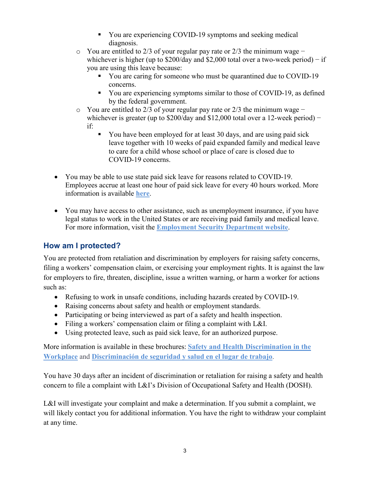- You are experiencing COVID-19 symptoms and seeking medical diagnosis.
- o You are entitled to 2/3 of your regular pay rate or 2/3 the minimum wage − whichever is higher (up to  $$200/day$  and  $$2,000$  total over a two-week period) – if you are using this leave because:
	- You are caring for someone who must be quarantined due to COVID-19 concerns.
	- You are experiencing symptoms similar to those of COVID-19, as defined by the federal government.
- o You are entitled to 2/3 of your regular pay rate or 2/3 the minimum wage − whichever is greater (up to  $$200/day$  and  $$12,000$  total over a 12-week period) – if:
	- You have been employed for at least 30 days, and are using paid sick leave together with 10 weeks of paid expanded family and medical leave to care for a child whose school or place of care is closed due to COVID-19 concerns.
- You may be able to use state paid sick leave for reasons related to COVID-19. Employees accrue at least one hour of paid sick leave for every 40 hours worked. More information is available **[here](https://www.lni.wa.gov/agency/outreach/paid-sick-leave-and-coronavirus-covid-19-common-questions)**.
- You may have access to other assistance, such as unemployment insurance, if you have legal status to work in the United States or are receiving paid family and medical leave. For more information, visit the **[Employment Security](https://esd.wa.gov/newsroom/covid-19) Department website**.

# **How am I protected?**

You are protected from retaliation and discrimination by employers for raising safety concerns, filing a workers' compensation claim, or exercising your employment rights. It is against the law for employers to fire, threaten, discipline, issue a written warning, or harm a worker for actions such as:

- Refusing to work in unsafe conditions, including hazards created by COVID-19.
- Raising concerns about safety and health or employment standards.
- Participating or being interviewed as part of a safety and health inspection.
- Filing a workers' compensation claim or filing a complaint with L&I.
- Using protected leave, such as paid sick leave, for an authorized purpose.

More information is available in these brochures: **[Safety and Health Discrimination in the](https://lni.wa.gov/forms-publications/F417-244-000.pdf)  [Workplace](https://lni.wa.gov/forms-publications/F417-244-000.pdf)** and **[Discriminación de seguridad y salud en el lugar de trabajo](https://lni.wa.gov/forms-publications/F417-244-999.pdf)**.

You have 30 days after an incident of discrimination or retaliation for raising a safety and health concern to file a complaint with L&I's [Division of Occupational Safety and Health](https://www.lni.wa.gov/workers-rights/workplace-complaints/safety-complaints) (DOSH).

L&I will investigate your complaint and make a determination. If you submit a complaint, we will likely contact you for additional information. You have the right to withdraw your complaint at any time.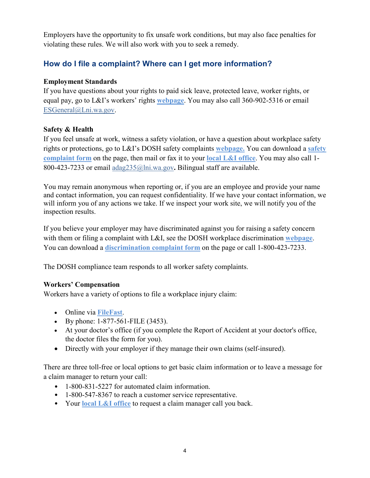Employers have the opportunity to fix unsafe work conditions, but may also face penalties for violating these rules. We will also work with you to seek a remedy.

# **How do I file a complaint? Where can I get more information?**

# **Employment Standards**

If you have questions about your rights to paid sick leave, protected leave, worker rights, or equal pay, go to L&I's workers' rights **[webpage](https://lni.wa.gov/workers-rights/)**. You may also call 360-902-5316 or email [ESGeneral@Lni.wa.gov.](mailto:ESGeneral@Lni.wa.gov)

# **Safety & Health**

If you feel unsafe at work, witness a safety violation, or have a question about workplace safety rights or protections, go to L&I's DOSH safety complaints **[webpage.](https://lni.wa.gov/workers-rights/workplace-complaints/safety-complaints)** You can download a **[safety](https://lni.wa.gov/forms-publications/F418-052-000.pdf)  [complaint form](https://lni.wa.gov/forms-publications/F418-052-000.pdf)** on the page, then mail or fax it to your **[local L&I office](https://lni.wa.gov/agency/contact/#office-locations)**. You may also call 1- 800-423-7233 or email [adag235@lni.wa.gov](mailto:adag235@lni.wa.gov)**.** Bilingual staff are available.

You may remain anonymous when reporting or, if you are an employee and provide your name and contact information, you can request confidentiality. If we have your contact information, we will inform you of any actions we take. If we inspect your work site, we will notify you of the inspection results.

If you believe your employer may have discriminated against you for raising a safety concern with them or filing a complaint with L&I, see the DOSH workplace discrimination **[webpage](https://lni.wa.gov/workers-rights/workplace-complaints/discrimination-in-the-workplace)**. You can download a **[discrimination complaint form](https://lni.wa.gov/forms-publications/F416-011-000.pdf)** on the page or call 1-800-423-7233.

The DOSH compliance team responds to all worker safety complaints.

# **Workers' Compensation**

Workers have a variety of options to file a workplace injury claim:

- Online via **[FileFast](https://lni.wa.gov/claims/for-medical-providers/filing-claims/filefast-report-of-accident)**.
- By phone: 1-877-561-FILE (3453).
- At your doctor's office (if you complete the Report of Accident at your doctor's office, the doctor files the form for you).
- Directly with your employer if they manage their own claims (self-insured).

There are three toll-free or local options to get basic claim information or to leave a message for a claim manager to return your call:

- 1-800-831-5227 for automated claim information.
- 1-800-547-8367 to reach a customer service representative.
- Your **[local L&I office](https://lni.wa.gov/agency/contact/#office-locations)** to request a claim manager call you back.